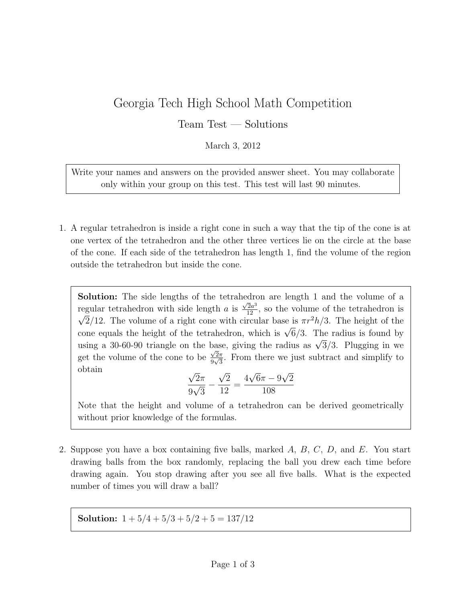## Georgia Tech High School Math Competition

Team Test — Solutions

March 3, 2012

Write your names and answers on the provided answer sheet. You may collaborate only within your group on this test. This test will last 90 minutes.

1. A regular tetrahedron is inside a right cone in such a way that the tip of the cone is at one vertex of the tetrahedron and the other three vertices lie on the circle at the base of the cone. If each side of the tetrahedron has length 1, find the volume of the region outside the tetrahedron but inside the cone.

Solution: The side lengths of the tetrahedron are length 1 and the volume of a regular tetrahedron with side length a is Equal tetrahedron with side length a is  $\frac{\sqrt{2}a^3}{12}$ , so the volume of the tetrahedron is  $\sqrt{2}/12$ . The volume of a right cone with circular base is  $\pi r^2 h/3$ . The height of the  $\sqrt{2}/12$ . The volume of a right cone with chedar base is  $\pi r / n/3$ . The neight of the tetrahedron, which is  $\sqrt{6}/3$ . The radius is found by cone equals the neight of the tetrahedron, which is  $\sqrt{9}/3$ . The radius is found by using a 30-60-90 triangle on the base, giving the radius as  $\sqrt{3}/3$ . Plugging in we get the volume of the cone to be  $\frac{\sqrt{2\pi}}{0\sqrt{2}}$  $\frac{\sqrt{2}\pi}{9\sqrt{3}}$ . From there we just subtract and simplify to obtain √ √ √ √

$$
\frac{\sqrt{2}\pi}{9\sqrt{3}} - \frac{\sqrt{2}}{12} = \frac{4\sqrt{6}\pi - 9\sqrt{2}}{108}
$$

Note that the height and volume of a tetrahedron can be derived geometrically without prior knowledge of the formulas.

2. Suppose you have a box containing five balls, marked A, B, C, D, and E. You start drawing balls from the box randomly, replacing the ball you drew each time before drawing again. You stop drawing after you see all five balls. What is the expected number of times you will draw a ball?

Solution:  $1 + 5/4 + 5/3 + 5/2 + 5 = 137/12$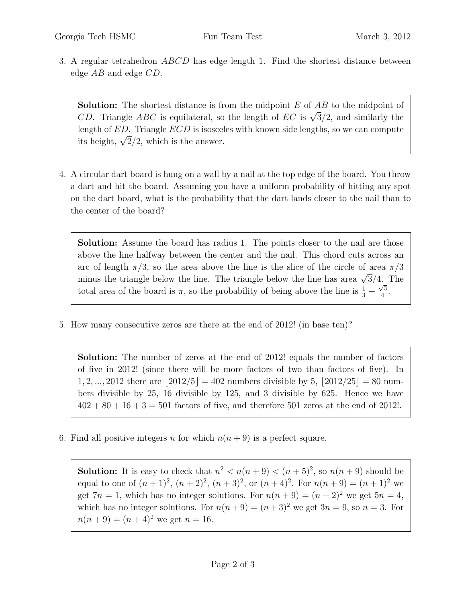3. A regular tetrahedron ABCD has edge length 1. Find the shortest distance between edge AB and edge CD.

**Solution:** The shortest distance is from the midpoint  $E$  of  $AB$  to the midpoint of **SOLUTION:** The shortest distance is from the imapoint E of  $AD$  to the imapoint of  $CD$ . Triangle  $ABC$  is equilateral, so the length of  $EC$  is  $\sqrt{3}/2$ , and similarly the length of ED. Triangle ECD is isosceles with known side lengths, so we can compute its height,  $\sqrt{2}/2$ , which is the answer.

4. A circular dart board is hung on a wall by a nail at the top edge of the board. You throw a dart and hit the board. Assuming you have a uniform probability of hitting any spot on the dart board, what is the probability that the dart lands closer to the nail than to the center of the board?

Solution: Assume the board has radius 1. The points closer to the nail are those above the line halfway between the center and the nail. This chord cuts across an arc of length  $\pi/3$ , so the area above the line is the slice of the circle of area  $\pi/3$ are of length  $\pi/3$ , so the area above the line is the site of the circle of area  $\pi/3$ <br>minus the triangle below the line. The triangle below the line has area  $\sqrt{3}/4$ . The total area of the board is  $\pi$ , so the probability of being above the line is  $\frac{1}{3} - \frac{\sqrt{3}}{4}$  $\frac{1}{4}$ .

5. How many consecutive zeros are there at the end of 2012! (in base ten)?

Solution: The number of zeros at the end of 2012! equals the number of factors of five in 2012! (since there will be more factors of two than factors of five). In 1, 2, ..., 2012 there are  $|2012/5| = 402$  numbers divisible by 5,  $|2012/25| = 80$  numbers divisible by 25, 16 divisible by 125, and 3 divisible by 625. Hence we have  $402 + 80 + 16 + 3 = 501$  factors of five, and therefore 501 zeros at the end of 2012!.

6. Find all positive integers n for which  $n(n+9)$  is a perfect square.

**Solution:** It is easy to check that  $n^2 < n(n+9) < (n+5)^2$ , so  $n(n+9)$  should be equal to one of  $(n + 1)^2$ ,  $(n + 2)^2$ ,  $(n + 3)^2$ , or  $(n + 4)^2$ . For  $n(n + 9) = (n + 1)^2$  we get  $7n = 1$ , which has no integer solutions. For  $n(n+9) = (n+2)^2$  we get  $5n = 4$ , which has no integer solutions. For  $n(n+9) = (n+3)^2$  we get  $3n = 9$ , so  $n = 3$ . For  $n(n+9) = (n+4)^2$  we get  $n = 16$ .